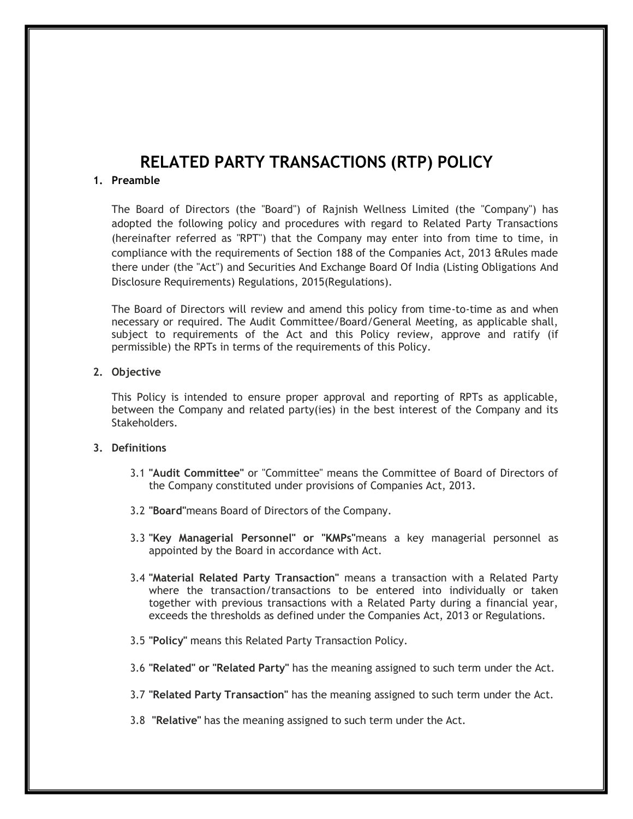# **RELATED PARTY TRANSACTIONS (RTP) POLICY**

### **1. Preamble**

The Board of Directors (the "Board") of Rajnish Wellness Limited (the "Company") has adopted the following policy and procedures with regard to Related Party Transactions (hereinafter referred as "RPT") that the Company may enter into from time to time, in compliance with the requirements of Section 188 of the Companies Act, 2013 &Rules made there under (the "Act") and Securities And Exchange Board Of India (Listing Obligations And Disclosure Requirements) Regulations, 2015(Regulations).

The Board of Directors will review and amend this policy from time-to-time as and when necessary or required. The Audit Committee/Board/General Meeting, as applicable shall, subject to requirements of the Act and this Policy review, approve and ratify (if permissible) the RPTs in terms of the requirements of this Policy.

### **2. Objective**

This Policy is intended to ensure proper approval and reporting of RPTs as applicable, between the Company and related party(ies) in the best interest of the Company and its Stakeholders.

#### **3. Definitions**

- 3.1 **"Audit Committee"** or "Committee" means the Committee of Board of Directors of the Company constituted under provisions of Companies Act, 2013.
- 3.2 **"Board"**means Board of Directors of the Company.
- 3.3 **"Key Managerial Personnel" or "KMPs"**means a key managerial personnel as appointed by the Board in accordance with Act.
- 3.4 **"Material Related Party Transaction"** means a transaction with a Related Party where the transaction/transactions to be entered into individually or taken together with previous transactions with a Related Party during a financial year, exceeds the thresholds as defined under the Companies Act, 2013 or Regulations.
- 3.5 **"Policy"** means this Related Party Transaction Policy.
- 3.6 **"Related" or "Related Party"** has the meaning assigned to such term under the Act.
- 3.7 **"Related Party Transaction"** has the meaning assigned to such term under the Act.
- 3.8 **"Relative"** has the meaning assigned to such term under the Act.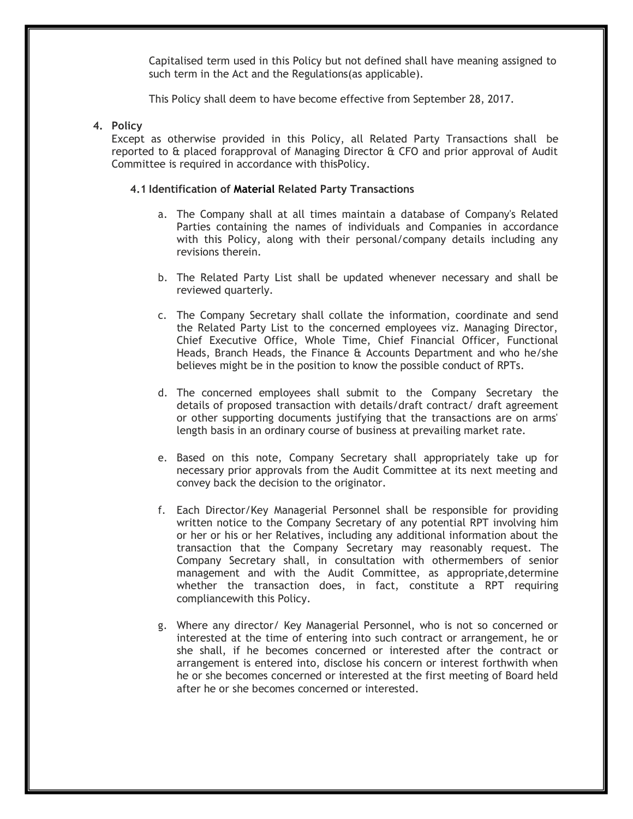Capitalised term used in this Policy but not defined shall have meaning assigned to such term in the Act and the Regulations(as applicable).

This Policy shall deem to have become effective from September 28, 2017.

### **4. Policy**

Except as otherwise provided in this Policy, all Related Party Transactions shall be reported to & placed forapproval of Managing Director & CFO and prior approval of Audit Committee is required in accordance with thisPolicy.

### **4.1 Identification of Material Related Party Transactions**

- a. The Company shall at all times maintain a database of Company's Related Parties containing the names of individuals and Companies in accordance with this Policy, along with their personal/company details including any revisions therein.
- b. The Related Party List shall be updated whenever necessary and shall be reviewed quarterly.
- c. The Company Secretary shall collate the information, coordinate and send the Related Party List to the concerned employees viz. Managing Director, Chief Executive Office, Whole Time, Chief Financial Officer, Functional Heads, Branch Heads, the Finance & Accounts Department and who he/she believes might be in the position to know the possible conduct of RPTs.
- d. The concerned employees shall submit to the Company Secretary the details of proposed transaction with details/draft contract/ draft agreement or other supporting documents justifying that the transactions are on arms' length basis in an ordinary course of business at prevailing market rate.
- e. Based on this note, Company Secretary shall appropriately take up for necessary prior approvals from the Audit Committee at its next meeting and convey back the decision to the originator.
- f. Each Director/Key Managerial Personnel shall be responsible for providing written notice to the Company Secretary of any potential RPT involving him or her or his or her Relatives, including any additional information about the transaction that the Company Secretary may reasonably request. The Company Secretary shall, in consultation with othermembers of senior management and with the Audit Committee, as appropriate,determine whether the transaction does, in fact, constitute a RPT requiring compliancewith this Policy.
- g. Where any director/ Key Managerial Personnel, who is not so concerned or interested at the time of entering into such contract or arrangement, he or she shall, if he becomes concerned or interested after the contract or arrangement is entered into, disclose his concern or interest forthwith when he or she becomes concerned or interested at the first meeting of Board held after he or she becomes concerned or interested.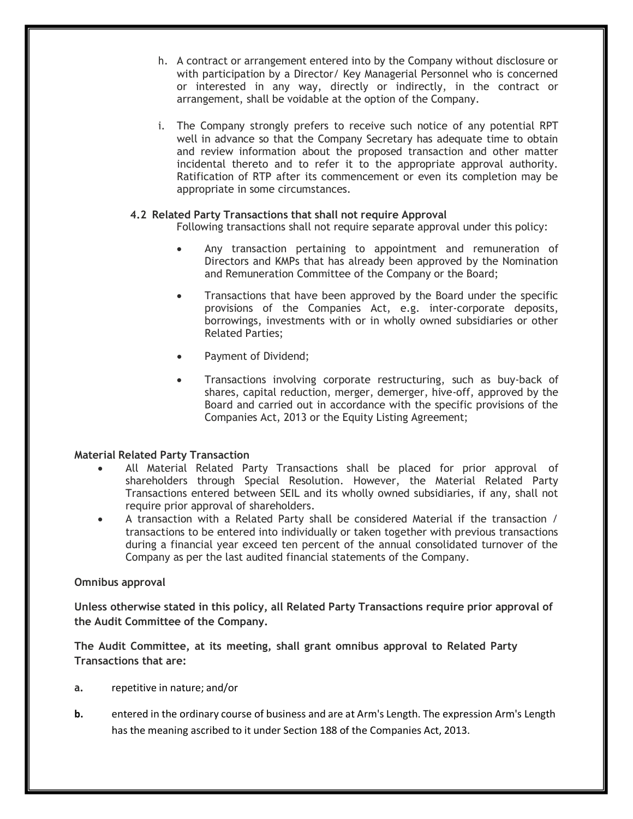- h. A contract or arrangement entered into by the Company without disclosure or with participation by a Director/ Key Managerial Personnel who is concerned or interested in any way, directly or indirectly, in the contract or arrangement, shall be voidable at the option of the Company.
- i. The Company strongly prefers to receive such notice of any potential RPT well in advance so that the Company Secretary has adequate time to obtain and review information about the proposed transaction and other matter incidental thereto and to refer it to the appropriate approval authority. Ratification of RTP after its commencement or even its completion may be appropriate in some circumstances.

## **4.2 Related Party Transactions that shall not require Approval**

Following transactions shall not require separate approval under this policy:

- Any transaction pertaining to appointment and remuneration of Directors and KMPs that has already been approved by the Nomination and Remuneration Committee of the Company or the Board;
- Transactions that have been approved by the Board under the specific provisions of the Companies Act, e.g. inter-corporate deposits, borrowings, investments with or in wholly owned subsidiaries or other Related Parties;
- Payment of Dividend;
- Transactions involving corporate restructuring, such as buy-back of shares, capital reduction, merger, demerger, hive-off, approved by the Board and carried out in accordance with the specific provisions of the Companies Act, 2013 or the Equity Listing Agreement;

## **Material Related Party Transaction**

- All Material Related Party Transactions shall be placed for prior approval of shareholders through Special Resolution. However, the Material Related Party Transactions entered between SEIL and its wholly owned subsidiaries, if any, shall not require prior approval of shareholders.
- A transaction with a Related Party shall be considered Material if the transaction / transactions to be entered into individually or taken together with previous transactions during a financial year exceed ten percent of the annual consolidated turnover of the Company as per the last audited financial statements of the Company.

## **Omnibus approval**

**Unless otherwise stated in this policy, all Related Party Transactions require prior approval of the Audit Committee of the Company.**

**The Audit Committee, at its meeting, shall grant omnibus approval to Related Party Transactions that are:**

- **a.** repetitive in nature; and/or
- **b.** entered in the ordinary course of business and are at Arm's Length. The expression Arm's Length has the meaning ascribed to it under Section 188 of the Companies Act, 2013.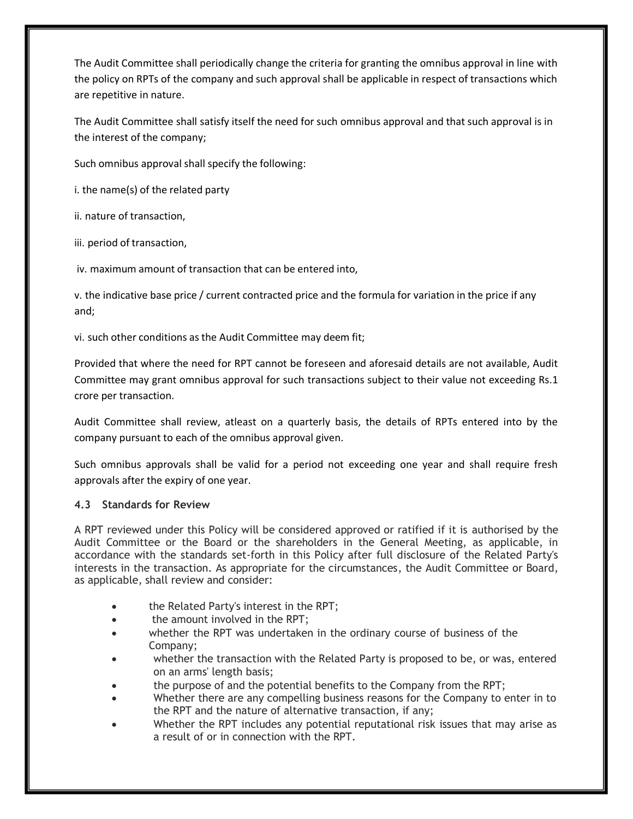The Audit Committee shall periodically change the criteria for granting the omnibus approval in line with the policy on RPTs of the company and such approval shall be applicable in respect of transactions which are repetitive in nature.

The Audit Committee shall satisfy itself the need for such omnibus approval and that such approval is in the interest of the company;

Such omnibus approval shall specify the following:

i. the name(s) of the related party

ii. nature of transaction,

iii. period of transaction,

iv. maximum amount of transaction that can be entered into,

v. the indicative base price / current contracted price and the formula for variation in the price if any and;

vi. such other conditions as the Audit Committee may deem fit;

Provided that where the need for RPT cannot be foreseen and aforesaid details are not available, Audit Committee may grant omnibus approval for such transactions subject to their value not exceeding Rs.1 crore per transaction.

Audit Committee shall review, atleast on a quarterly basis, the details of RPTs entered into by the company pursuant to each of the omnibus approval given.

Such omnibus approvals shall be valid for a period not exceeding one year and shall require fresh approvals after the expiry of one year.

## **4.3 Standards for Review**

A RPT reviewed under this Policy will be considered approved or ratified if it is authorised by the Audit Committee or the Board or the shareholders in the General Meeting, as applicable, in accordance with the standards set-forth in this Policy after full disclosure of the Related Party's interests in the transaction. As appropriate for the circumstances, the Audit Committee or Board, as applicable, shall review and consider:

- the Related Party's interest in the RPT;
- the amount involved in the RPT;
- whether the RPT was undertaken in the ordinary course of business of the Company;
- whether the transaction with the Related Party is proposed to be, or was, entered on an arms' length basis;
- the purpose of and the potential benefits to the Company from the RPT;
- Whether there are any compelling business reasons for the Company to enter in to the RPT and the nature of alternative transaction, if any;
- Whether the RPT includes any potential reputational risk issues that may arise as a result of or in connection with the RPT.